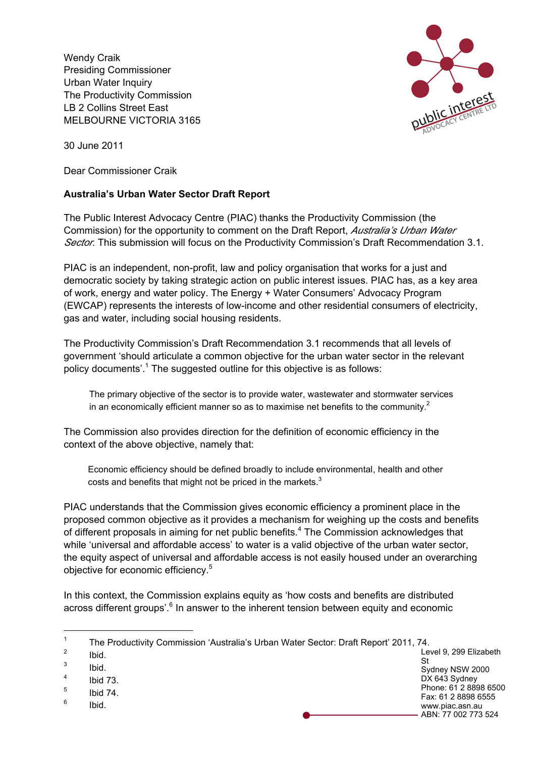Wendy Craik Presiding Commissioner Urban Water Inquiry The Productivity Commission LB 2 Collins Street East MELBOURNE VICTORIA 3165



30 June 2011

Dear Commissioner Craik

## **Australia's Urban Water Sector Draft Report**

The Public Interest Advocacy Centre (PIAC) thanks the Productivity Commission (the Commission) for the opportunity to comment on the Draft Report, *Australia's Urban Water Sector*. This submission will focus on the Productivity Commission's Draft Recommendation 3.1.

PIAC is an independent, non-profit, law and policy organisation that works for a just and democratic society by taking strategic action on public interest issues. PIAC has, as a key area of work, energy and water policy. The Energy + Water Consumers' Advocacy Program (EWCAP) represents the interests of low-income and other residential consumers of electricity, gas and water, including social housing residents.

The Productivity Commission's Draft Recommendation 3.1 recommends that all levels of government 'should articulate a common objective for the urban water sector in the relevant policy documents'.<sup>1</sup> The suggested outline for this objective is as follows:

The primary objective of the sector is to provide water, wastewater and stormwater services in an economically efficient manner so as to maximise net benefits to the community. $2^2$ 

The Commission also provides direction for the definition of economic efficiency in the context of the above objective, namely that:

Economic efficiency should be defined broadly to include environmental, health and other costs and benefits that might not be priced in the markets. $3$ 

PIAC understands that the Commission gives economic efficiency a prominent place in the proposed common objective as it provides a mechanism for weighing up the costs and benefits of different proposals in aiming for net public benefits.<sup>4</sup> The Commission acknowledges that while 'universal and affordable access' to water is a valid objective of the urban water sector, the equity aspect of universal and affordable access is not easily housed under an overarching objective for economic efficiency.<sup>5</sup>

In this context, the Commission explains equity as 'how costs and benefits are distributed across different groups'.<sup>6</sup> In answer to the inherent tension between equity and economic

 $rac{2}{3}$  Ibid.

 $\frac{3}{4}$  Ibid.

<sup>6</sup> Ibid.

Level 9, 299 Elizabeth St Sydney NSW 2000 DX 643 Sydney Phone: 61 2 8898 6500 Fax: 61 2 8898 6555 www.piac.asn.au ABN: 77 002 773 524

<sup>&</sup>lt;sup>1</sup> The Productivity Commission 'Australia's Urban Water Sector: Draft Report' 2011, 74.

Ibid  $73$ 

 $\frac{5}{6}$  Ibid 74.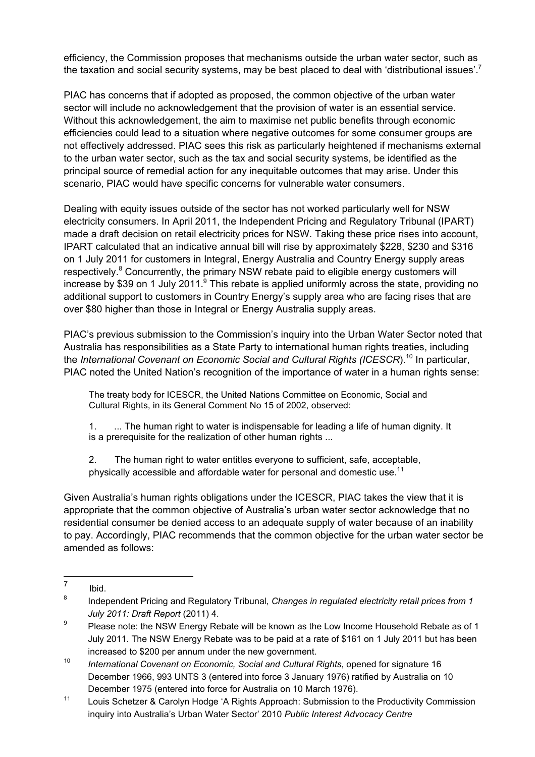efficiency, the Commission proposes that mechanisms outside the urban water sector, such as the taxation and social security systems, may be best placed to deal with 'distributional issues'.<sup>7</sup>

PIAC has concerns that if adopted as proposed, the common objective of the urban water sector will include no acknowledgement that the provision of water is an essential service. Without this acknowledgement, the aim to maximise net public benefits through economic efficiencies could lead to a situation where negative outcomes for some consumer groups are not effectively addressed. PIAC sees this risk as particularly heightened if mechanisms external to the urban water sector, such as the tax and social security systems, be identified as the principal source of remedial action for any inequitable outcomes that may arise. Under this scenario, PIAC would have specific concerns for vulnerable water consumers.

Dealing with equity issues outside of the sector has not worked particularly well for NSW electricity consumers. In April 2011, the Independent Pricing and Regulatory Tribunal (IPART) made a draft decision on retail electricity prices for NSW. Taking these price rises into account, IPART calculated that an indicative annual bill will rise by approximately \$228, \$230 and \$316 on 1 July 2011 for customers in Integral, Energy Australia and Country Energy supply areas respectively.<sup>8</sup> Concurrently, the primary NSW rebate paid to eligible energy customers will increase by \$39 on 1 July 2011.<sup>9</sup> This rebate is applied uniformly across the state, providing no additional support to customers in Country Energy's supply area who are facing rises that are over \$80 higher than those in Integral or Energy Australia supply areas.

PIAC's previous submission to the Commission's inquiry into the Urban Water Sector noted that Australia has responsibilities as a State Party to international human rights treaties, including the *International Covenant on Economic Social and Cultural Rights (ICESCR)*.<sup>10</sup> In particular, PIAC noted the United Nation's recognition of the importance of water in a human rights sense:

The treaty body for ICESCR, the United Nations Committee on Economic, Social and Cultural Rights, in its General Comment No 15 of 2002, observed:

1. ... The human right to water is indispensable for leading a life of human dignity. It is a prerequisite for the realization of other human rights ...

2. The human right to water entitles everyone to sufficient, safe, acceptable, physically accessible and affordable water for personal and domestic use.<sup>11</sup>

Given Australia's human rights obligations under the ICESCR, PIAC takes the view that it is appropriate that the common objective of Australia's urban water sector acknowledge that no residential consumer be denied access to an adequate supply of water because of an inability to pay. Accordingly, PIAC recommends that the common objective for the urban water sector be amended as follows:

 $\frac{7}{8}$  Ibid.

<sup>8</sup> Independent Pricing and Regulatory Tribunal, *Changes in regulated electricity retail prices from 1 July 2011: Draft Report* (2011) 4.

 $\frac{9}{2}$  Please note: the NSW Energy Rebate will be known as the Low Income Household Rebate as of 1 July 2011. The NSW Energy Rebate was to be paid at a rate of \$161 on 1 July 2011 but has been increased to \$200 per annum under the new government.

<sup>10</sup> *International Covenant on Economic, Social and Cultural Rights*, opened for signature 16 December 1966, 993 UNTS 3 (entered into force 3 January 1976) ratified by Australia on 10 December 1975 (entered into force for Australia on 10 March 1976).

<sup>&</sup>lt;sup>11</sup> Louis Schetzer & Carolyn Hodge 'A Rights Approach: Submission to the Productivity Commission inquiry into Australia's Urban Water Sector' 2010 *Public Interest Advocacy Centre*